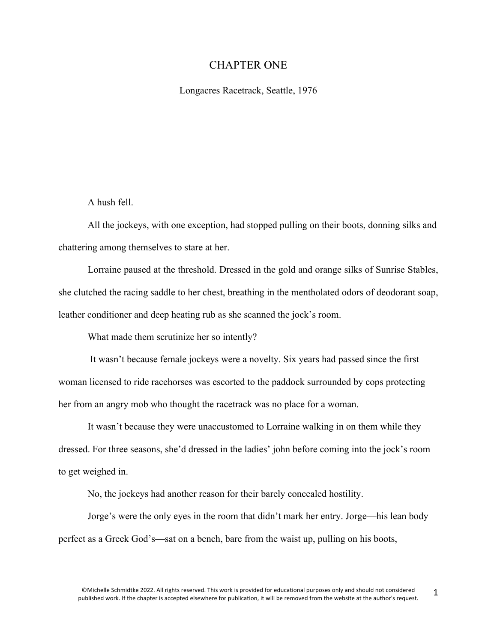## CHAPTER ONE

Longacres Racetrack, Seattle, 1976

A hush fell.

All the jockeys, with one exception, had stopped pulling on their boots, donning silks and chattering among themselves to stare at her.

Lorraine paused at the threshold. Dressed in the gold and orange silks of Sunrise Stables, she clutched the racing saddle to her chest, breathing in the mentholated odors of deodorant soap, leather conditioner and deep heating rub as she scanned the jock's room.

What made them scrutinize her so intently?

It wasn't because female jockeys were a novelty. Six years had passed since the first woman licensed to ride racehorses was escorted to the paddock surrounded by cops protecting her from an angry mob who thought the racetrack was no place for a woman.

It wasn't because they were unaccustomed to Lorraine walking in on them while they dressed. For three seasons, she'd dressed in the ladies' john before coming into the jock's room to get weighed in.

No, the jockeys had another reason for their barely concealed hostility.

Jorge's were the only eyes in the room that didn't mark her entry. Jorge—his lean body perfect as a Greek God's—sat on a bench, bare from the waist up, pulling on his boots,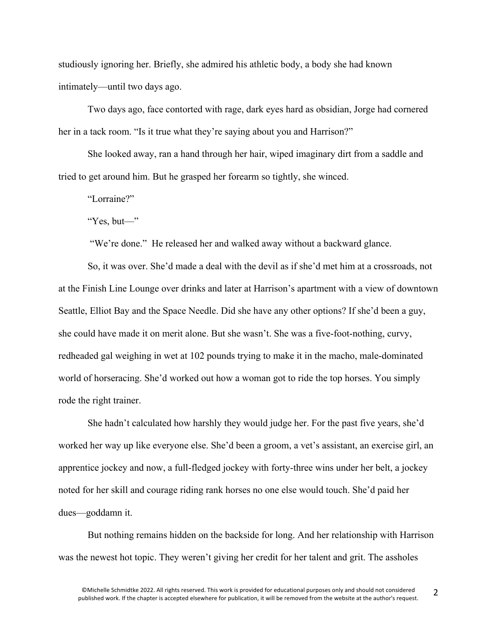studiously ignoring her. Briefly, she admired his athletic body, a body she had known intimately—until two days ago.

Two days ago, face contorted with rage, dark eyes hard as obsidian, Jorge had cornered her in a tack room. "Is it true what they're saying about you and Harrison?"

She looked away, ran a hand through her hair, wiped imaginary dirt from a saddle and tried to get around him. But he grasped her forearm so tightly, she winced.

"Lorraine?"

"Yes, but—"

"We're done." He released her and walked away without a backward glance.

So, it was over. She'd made a deal with the devil as if she'd met him at a crossroads, not at the Finish Line Lounge over drinks and later at Harrison's apartment with a view of downtown Seattle, Elliot Bay and the Space Needle. Did she have any other options? If she'd been a guy, she could have made it on merit alone. But she wasn't. She was a five-foot-nothing, curvy, redheaded gal weighing in wet at 102 pounds trying to make it in the macho, male-dominated world of horseracing. She'd worked out how a woman got to ride the top horses. You simply rode the right trainer.

She hadn't calculated how harshly they would judge her. For the past five years, she'd worked her way up like everyone else. She'd been a groom, a vet's assistant, an exercise girl, an apprentice jockey and now, a full-fledged jockey with forty-three wins under her belt, a jockey noted for her skill and courage riding rank horses no one else would touch. She'd paid her dues—goddamn it.

But nothing remains hidden on the backside for long. And her relationship with Harrison was the newest hot topic. They weren't giving her credit for her talent and grit. The assholes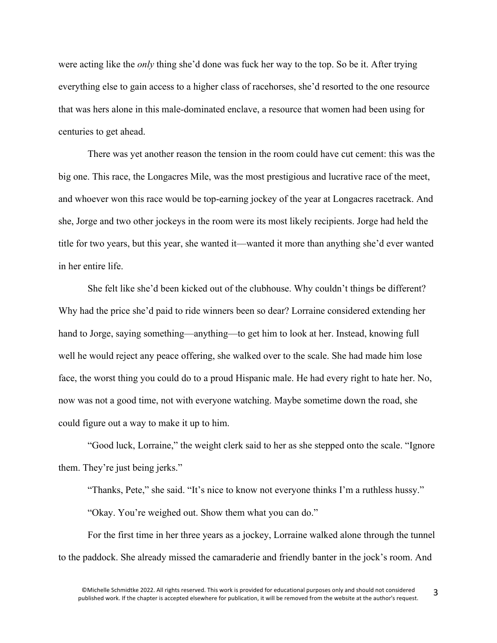were acting like the *only* thing she'd done was fuck her way to the top. So be it. After trying everything else to gain access to a higher class of racehorses, she'd resorted to the one resource that was hers alone in this male-dominated enclave, a resource that women had been using for centuries to get ahead.

There was yet another reason the tension in the room could have cut cement: this was the big one. This race, the Longacres Mile, was the most prestigious and lucrative race of the meet, and whoever won this race would be top-earning jockey of the year at Longacres racetrack. And she, Jorge and two other jockeys in the room were its most likely recipients. Jorge had held the title for two years, but this year, she wanted it—wanted it more than anything she'd ever wanted in her entire life.

She felt like she'd been kicked out of the clubhouse. Why couldn't things be different? Why had the price she'd paid to ride winners been so dear? Lorraine considered extending her hand to Jorge, saying something—anything—to get him to look at her. Instead, knowing full well he would reject any peace offering, she walked over to the scale. She had made him lose face, the worst thing you could do to a proud Hispanic male. He had every right to hate her. No, now was not a good time, not with everyone watching. Maybe sometime down the road, she could figure out a way to make it up to him.

"Good luck, Lorraine," the weight clerk said to her as she stepped onto the scale. "Ignore them. They're just being jerks."

"Thanks, Pete," she said. "It's nice to know not everyone thinks I'm a ruthless hussy." "Okay. You're weighed out. Show them what you can do."

For the first time in her three years as a jockey, Lorraine walked alone through the tunnel to the paddock. She already missed the camaraderie and friendly banter in the jock's room. And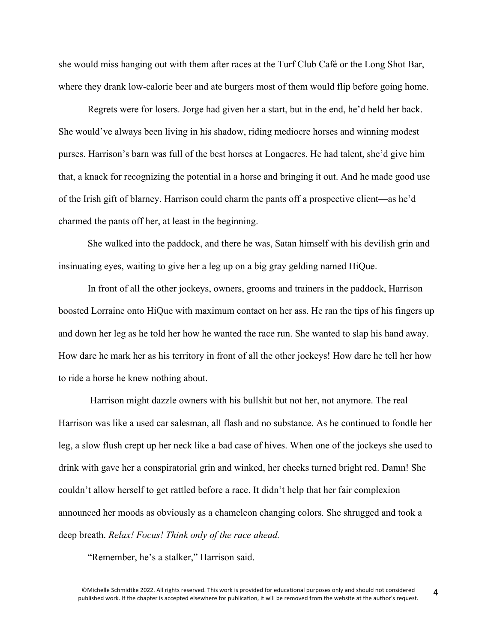she would miss hanging out with them after races at the Turf Club Café or the Long Shot Bar, where they drank low-calorie beer and ate burgers most of them would flip before going home.

Regrets were for losers. Jorge had given her a start, but in the end, he'd held her back. She would've always been living in his shadow, riding mediocre horses and winning modest purses. Harrison's barn was full of the best horses at Longacres. He had talent, she'd give him that, a knack for recognizing the potential in a horse and bringing it out. And he made good use of the Irish gift of blarney. Harrison could charm the pants off a prospective client—as he'd charmed the pants off her, at least in the beginning.

She walked into the paddock, and there he was, Satan himself with his devilish grin and insinuating eyes, waiting to give her a leg up on a big gray gelding named HiQue.

In front of all the other jockeys, owners, grooms and trainers in the paddock, Harrison boosted Lorraine onto HiQue with maximum contact on her ass. He ran the tips of his fingers up and down her leg as he told her how he wanted the race run. She wanted to slap his hand away. How dare he mark her as his territory in front of all the other jockeys! How dare he tell her how to ride a horse he knew nothing about.

Harrison might dazzle owners with his bullshit but not her, not anymore. The real Harrison was like a used car salesman, all flash and no substance. As he continued to fondle her leg, a slow flush crept up her neck like a bad case of hives. When one of the jockeys she used to drink with gave her a conspiratorial grin and winked, her cheeks turned bright red. Damn! She couldn't allow herself to get rattled before a race. It didn't help that her fair complexion announced her moods as obviously as a chameleon changing colors. She shrugged and took a deep breath. *Relax! Focus! Think only of the race ahead.*

"Remember, he's a stalker," Harrison said.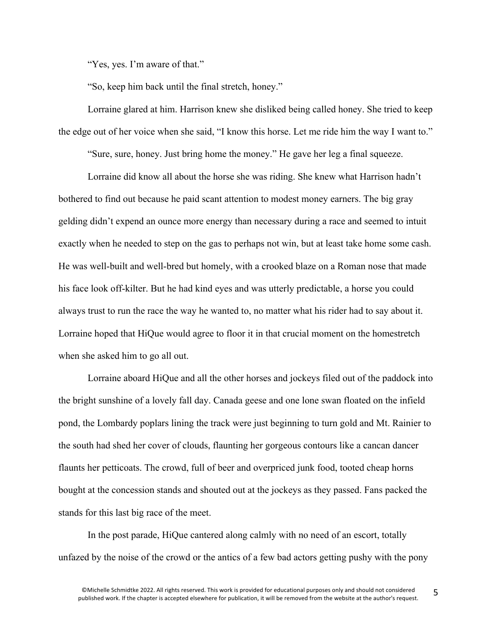"Yes, yes. I'm aware of that."

"So, keep him back until the final stretch, honey."

Lorraine glared at him. Harrison knew she disliked being called honey. She tried to keep the edge out of her voice when she said, "I know this horse. Let me ride him the way I want to."

"Sure, sure, honey. Just bring home the money." He gave her leg a final squeeze.

Lorraine did know all about the horse she was riding. She knew what Harrison hadn't bothered to find out because he paid scant attention to modest money earners. The big gray gelding didn't expend an ounce more energy than necessary during a race and seemed to intuit exactly when he needed to step on the gas to perhaps not win, but at least take home some cash. He was well-built and well-bred but homely, with a crooked blaze on a Roman nose that made his face look off-kilter. But he had kind eyes and was utterly predictable, a horse you could always trust to run the race the way he wanted to, no matter what his rider had to say about it. Lorraine hoped that HiQue would agree to floor it in that crucial moment on the homestretch when she asked him to go all out.

Lorraine aboard HiQue and all the other horses and jockeys filed out of the paddock into the bright sunshine of a lovely fall day. Canada geese and one lone swan floated on the infield pond, the Lombardy poplars lining the track were just beginning to turn gold and Mt. Rainier to the south had shed her cover of clouds, flaunting her gorgeous contours like a cancan dancer flaunts her petticoats. The crowd, full of beer and overpriced junk food, tooted cheap horns bought at the concession stands and shouted out at the jockeys as they passed. Fans packed the stands for this last big race of the meet.

In the post parade, HiQue cantered along calmly with no need of an escort, totally unfazed by the noise of the crowd or the antics of a few bad actors getting pushy with the pony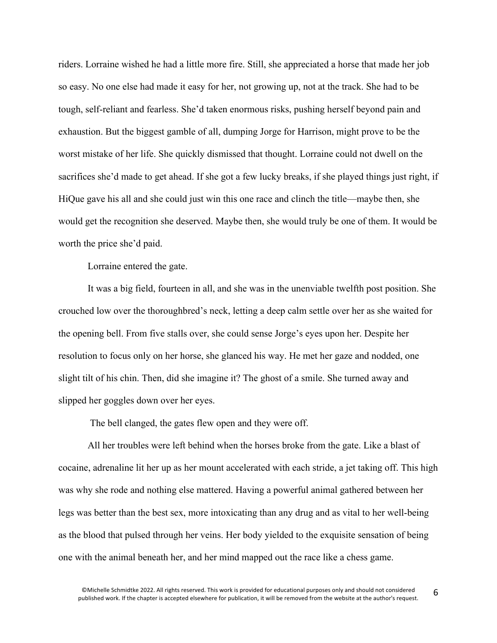riders. Lorraine wished he had a little more fire. Still, she appreciated a horse that made her job so easy. No one else had made it easy for her, not growing up, not at the track. She had to be tough, self-reliant and fearless. She'd taken enormous risks, pushing herself beyond pain and exhaustion. But the biggest gamble of all, dumping Jorge for Harrison, might prove to be the worst mistake of her life. She quickly dismissed that thought. Lorraine could not dwell on the sacrifices she'd made to get ahead. If she got a few lucky breaks, if she played things just right, if HiQue gave his all and she could just win this one race and clinch the title—maybe then, she would get the recognition she deserved. Maybe then, she would truly be one of them. It would be worth the price she'd paid.

Lorraine entered the gate.

It was a big field, fourteen in all, and she was in the unenviable twelfth post position. She crouched low over the thoroughbred's neck, letting a deep calm settle over her as she waited for the opening bell. From five stalls over, she could sense Jorge's eyes upon her. Despite her resolution to focus only on her horse, she glanced his way. He met her gaze and nodded, one slight tilt of his chin. Then, did she imagine it? The ghost of a smile. She turned away and slipped her goggles down over her eyes.

The bell clanged, the gates flew open and they were off.

All her troubles were left behind when the horses broke from the gate. Like a blast of cocaine, adrenaline lit her up as her mount accelerated with each stride, a jet taking off. This high was why she rode and nothing else mattered. Having a powerful animal gathered between her legs was better than the best sex, more intoxicating than any drug and as vital to her well-being as the blood that pulsed through her veins. Her body yielded to the exquisite sensation of being one with the animal beneath her, and her mind mapped out the race like a chess game.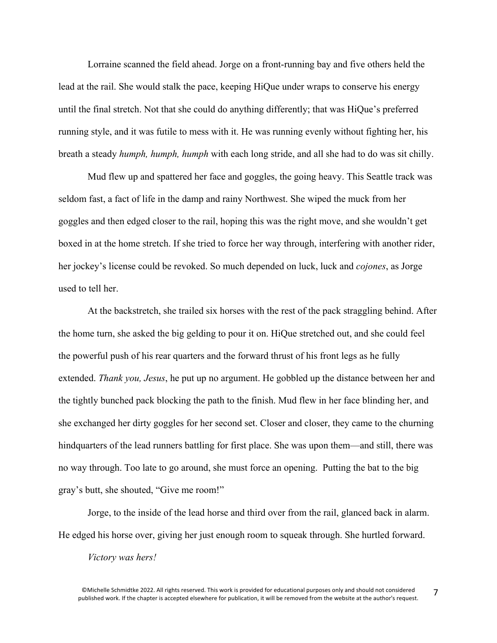Lorraine scanned the field ahead. Jorge on a front-running bay and five others held the lead at the rail. She would stalk the pace, keeping HiQue under wraps to conserve his energy until the final stretch. Not that she could do anything differently; that was HiQue's preferred running style, and it was futile to mess with it. He was running evenly without fighting her, his breath a steady *humph, humph, humph* with each long stride, and all she had to do was sit chilly.

Mud flew up and spattered her face and goggles, the going heavy. This Seattle track was seldom fast, a fact of life in the damp and rainy Northwest. She wiped the muck from her goggles and then edged closer to the rail, hoping this was the right move, and she wouldn't get boxed in at the home stretch. If she tried to force her way through, interfering with another rider, her jockey's license could be revoked. So much depended on luck, luck and *cojones*, as Jorge used to tell her.

At the backstretch, she trailed six horses with the rest of the pack straggling behind. After the home turn, she asked the big gelding to pour it on. HiQue stretched out, and she could feel the powerful push of his rear quarters and the forward thrust of his front legs as he fully extended. *Thank you, Jesus*, he put up no argument. He gobbled up the distance between her and the tightly bunched pack blocking the path to the finish. Mud flew in her face blinding her, and she exchanged her dirty goggles for her second set. Closer and closer, they came to the churning hindquarters of the lead runners battling for first place. She was upon them—and still, there was no way through. Too late to go around, she must force an opening. Putting the bat to the big gray's butt, she shouted, "Give me room!"

Jorge, to the inside of the lead horse and third over from the rail, glanced back in alarm. He edged his horse over, giving her just enough room to squeak through. She hurtled forward.

## *Victory was hers!*